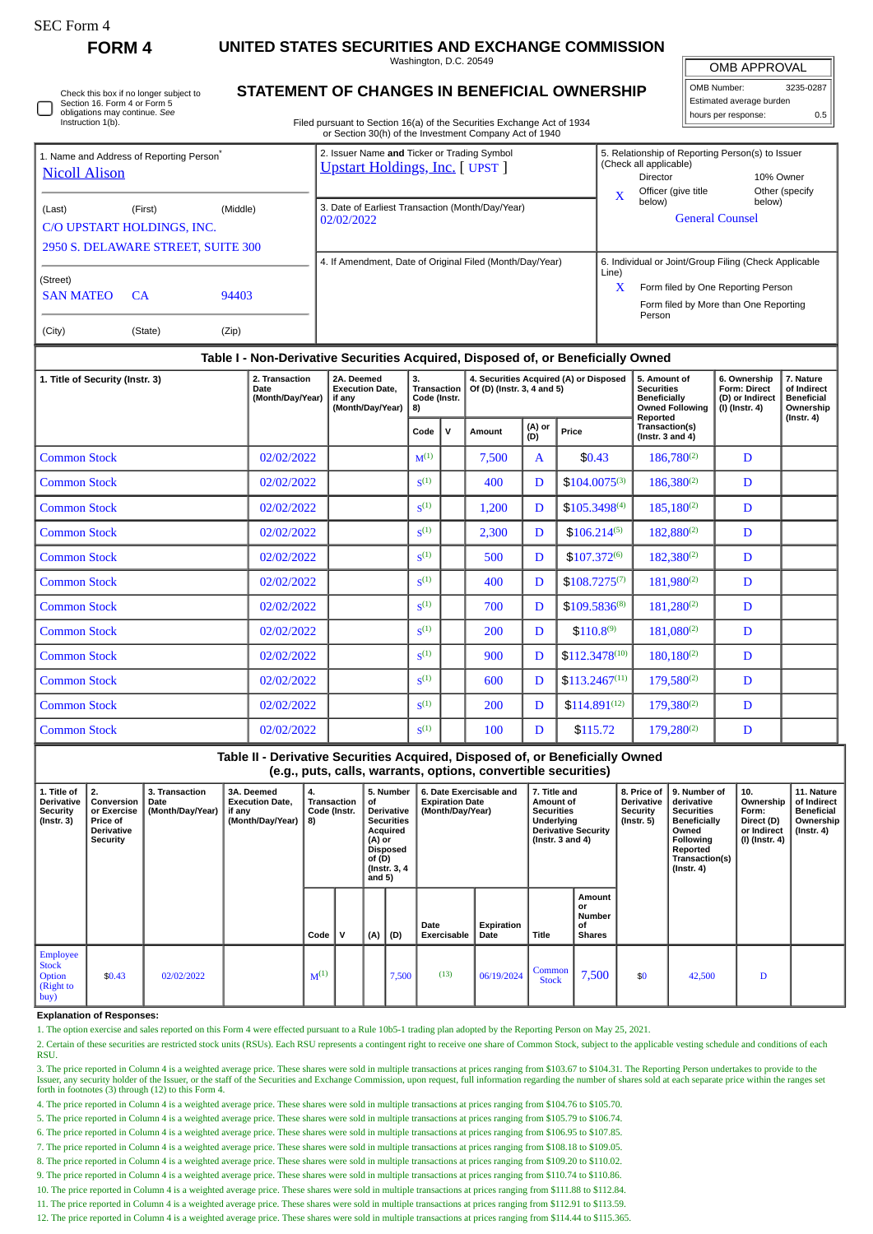**FORM 4 UNITED STATES SECURITIES AND EXCHANGE COMMISSION**

Washington, D.C. 20549

OMB APPROVAL

| OMB Number:              | 3235-0287 |  |  |  |  |  |  |  |  |
|--------------------------|-----------|--|--|--|--|--|--|--|--|
| Estimated average burden |           |  |  |  |  |  |  |  |  |
| hours per response:      | 0.5       |  |  |  |  |  |  |  |  |

Check this box if no longer subject to Section 16. Form 4 or Form 5 obligations may continue. *See* Instruction 1(b)

## **STATEMENT OF CHANGES IN BENEFICIAL OWNERSHIP**

Filed pursuant to Section 16(a) of the Securities Exchange Act of 1934 or Section 30(h) of the Investment Company Act of 1940

| 1. Name and Address of Reporting Person <sup>®</sup><br><b>Nicoll Alison</b>                      |  |  |                  | 2. Issuer Name and Ticker or Trading Symbol<br><b>Upstart Holdings, Inc.</b> [ UPST ] |                                                                                                                                                                  |  |  |                                                                                                                                           | 5. Relationship of Reporting Person(s) to Issuer<br>(Check all applicable)<br>10% Owner<br>Director |                                                                                     |                                                                                                                                                |  |  |
|---------------------------------------------------------------------------------------------------|--|--|------------------|---------------------------------------------------------------------------------------|------------------------------------------------------------------------------------------------------------------------------------------------------------------|--|--|-------------------------------------------------------------------------------------------------------------------------------------------|-----------------------------------------------------------------------------------------------------|-------------------------------------------------------------------------------------|------------------------------------------------------------------------------------------------------------------------------------------------|--|--|
| (Middle)<br>(Last)<br>(First)<br>C/O UPSTART HOLDINGS, INC.<br>2950 S. DELAWARE STREET, SUITE 300 |  |  |                  | 3. Date of Earliest Transaction (Month/Day/Year)<br>02/02/2022                        |                                                                                                                                                                  |  |  |                                                                                                                                           | $\mathbf x$                                                                                         | Other (specify<br>Officer (give title<br>below)<br>below)<br><b>General Counsel</b> |                                                                                                                                                |  |  |
| (Street)<br><b>SAN MATEO</b><br>94403<br><b>CA</b><br>(City)<br>(State)<br>(Zip)                  |  |  |                  | 4. If Amendment, Date of Original Filed (Month/Day/Year)                              |                                                                                                                                                                  |  |  |                                                                                                                                           |                                                                                                     | Line)<br>X                                                                          | 6. Individual or Joint/Group Filing (Check Applicable<br>Form filed by One Reporting Person<br>Form filed by More than One Reporting<br>Person |  |  |
| Table I - Non-Derivative Securities Acquired, Disposed of, or Beneficially Owned                  |  |  |                  |                                                                                       |                                                                                                                                                                  |  |  |                                                                                                                                           |                                                                                                     |                                                                                     |                                                                                                                                                |  |  |
| 2. Transaction<br>1. Title of Security (Instr. 3)<br>Date                                         |  |  | (Month/Day/Year) | 2A. Deemed<br><b>Execution Date.</b><br>if anv<br>(Month/Day/Year)                    | 3.<br>4. Securities Acquired (A) or Disposed<br>Of (D) (Instr. 3, 4 and 5)<br>Transaction<br>Code (Instr.<br>8)<br>(A) or<br>Price<br>v<br>Code<br>Amount<br>(D) |  |  | 5. Amount of<br><b>Securities</b><br><b>Beneficially</b><br><b>Owned Following</b><br>Reported<br>Transaction(s)<br>(Instr. $3$ and $4$ ) |                                                                                                     | 6. Ownership<br><b>Form: Direct</b><br>(D) or Indirect<br>(I) (Instr. 4)            | 7. Nature<br>of Indirect<br><b>Beneficial</b><br>Ownership<br>(Instr. 4)                                                                       |  |  |

|                     |            | Code               | v | Amount | (A) or<br>(D) | Price              | Transaction(s)<br>(Instr. $3$ and $4$ ) |   |  |
|---------------------|------------|--------------------|---|--------|---------------|--------------------|-----------------------------------------|---|--|
| <b>Common Stock</b> | 02/02/2022 | $M^{(1)}$          |   | 7,500  | A             | \$0.43             | $186,780^{(2)}$                         | D |  |
| <b>Common Stock</b> | 02/02/2022 | S <sup>(1)</sup>   |   | 400    | D             | $$104.0075^{(3)}$  | $186,380^{(2)}$                         | D |  |
| <b>Common Stock</b> | 02/02/2022 | S <sup>(1)</sup>   |   | 1,200  | D             | $$105.3498^{(4)}$  | $185,180^{(2)}$                         | D |  |
| <b>Common Stock</b> | 02/02/2022 | S <sup>(1)</sup>   |   | 2,300  | D             | $$106.214^{(5)}$   | $182,880^{(2)}$                         | D |  |
| <b>Common Stock</b> | 02/02/2022 | S <sup>(1)</sup>   |   | 500    | D             | $$107.372^{(6)}$   | $182,380^{(2)}$                         | D |  |
| <b>Common Stock</b> | 02/02/2022 | S <sup>(1)</sup>   |   | 400    | D             | $$108.7275^{(7)}$  | $181,980^{(2)}$                         | D |  |
| <b>Common Stock</b> | 02/02/2022 | S <sup>(1)</sup>   |   | 700    | D             | \$109.5836(8)      | $181,280^{(2)}$                         | D |  |
| <b>Common Stock</b> | 02/02/2022 | S <sup>(1)</sup>   |   | 200    | D             | $$110.8^{(9)}$     | $181,080^{(2)}$                         | D |  |
| <b>Common Stock</b> | 02/02/2022 | $\zeta^{(1)}$      |   | 900    | D             | $$112.3478^{(10)}$ | $180.180^{(2)}$                         | D |  |
| <b>Common Stock</b> | 02/02/2022 | S <sup>(1)</sup>   |   | 600    | D             | $$113.2467^{(11)}$ | 179,580(2)                              | D |  |
| <b>Common Stock</b> | 02/02/2022 | $\mathbf{S}^{(1)}$ |   | 200    | D             | $$114.891^{(12)}$  | $179,380^{(2)}$                         | D |  |
| <b>Common Stock</b> | 02/02/2022 | S <sup>(1)</sup>   |   | 100    | D             | \$115.72           | $179.280^{(2)}$                         | D |  |

**Table II - Derivative Securities Acquired, Disposed of, or Beneficially Owned (e.g., puts, calls, warrants, options, convertible securities) 1. Title of Derivative Security (Instr. 3) 2. Conversion or Exercise Price of Derivative Security 3. Transaction Date (Month/Day/Year) 3A. Deemed Execution Date, if any (Month/Day/Year) 4. Transaction Code (Instr. 8) 5. Number of Derivative Securities Acquired (A) or Disposed of (D) (Instr. 3, 4 and 5) 6. Date Exercisable and Expiration Date (Month/Day/Year) 7. Title and Amount of Securities Underlying Derivative Security (Instr. 3 and 4) 8. Price of Derivative Security (Instr. 5) 9. Number of derivative Securities Beneficially Owned Following Reported Transaction(s) (Instr. 4) 10. Ownership Form: Direct (D) or Indirect (I) (Instr. 4) 11. Nature of Indirect Beneficial Ownership (Instr. 4) Code V (A) (D) Date Exercisable Expiration Title Amount or Number of Shares** Employee Stock **Option** (Right to buy) \$0.43 02/02/2022  $\begin{vmatrix} 0 & 0 & 0 \\ 0 & 0 & 0 \end{vmatrix}$  06/19/2024  $\begin{vmatrix} 0 & 0 \\ 0 & 0 \end{vmatrix}$  06/19/2024  $\begin{vmatrix} 0 & 0 \\ 0 & 0 \end{vmatrix}$  $\begin{array}{|c|c|c|c|c|c|c|c|} \hline \text{ommon} & 7,500 & \text{ } & 42,500 & D \\ \hline \text{Stock} & 7,500 & \text{ } & 42,500 & D \end{array}$ 

**Explanation of Responses:**

1. The option exercise and sales reported on this Form 4 were effected pursuant to a Rule 10b5-1 trading plan adopted by the Reporting Person on May 25, 2021.

2. Certain of these securities are restricted stock units (RSUs). Each RSU represents a contingent right to receive one share of Common Stock, subject to the applicable vesting schedule and conditions of each **RSU** 

3. The price reported in Column 4 is a weighted average price. These shares were sold in multiple transactions at prices ranging from \$103.67 to \$104.31. The Reporting Person undertakes to provide to the Issuer, any security holder of the Issuer, or the staff of the Securities and Exchange Commission, upon request, full information regarding the number of shares sold at each separate price within the ranges set forth in footnotes (3) through (12) to this Form 4.

4. The price reported in Column 4 is a weighted average price. These shares were sold in multiple transactions at prices ranging from \$104.76 to \$105.70.

5. The price reported in Column 4 is a weighted average price. These shares were sold in multiple transactions at prices ranging from \$105.79 to \$106.74.

6. The price reported in Column 4 is a weighted average price. These shares were sold in multiple transactions at prices ranging from \$106.95 to \$107.85.

7. The price reported in Column 4 is a weighted average price. These shares were sold in multiple transactions at prices ranging from \$108.18 to \$109.05.

8. The price reported in Column 4 is a weighted average price. These shares were sold in multiple transactions at prices ranging from \$109.20 to \$110.02.

9. The price reported in Column 4 is a weighted average price. These shares were sold in multiple transactions at prices ranging from \$110.74 to \$110.86.

10. The price reported in Column 4 is a weighted average price. These shares were sold in multiple transactions at prices ranging from \$111.88 to \$112.84.

11. The price reported in Column 4 is a weighted average price. These shares were sold in multiple transactions at prices ranging from \$112.91 to \$113.59. 12. The price reported in Column 4 is a weighted average price. These shares were sold in multiple transactions at prices ranging from \$114.44 to \$115.365.